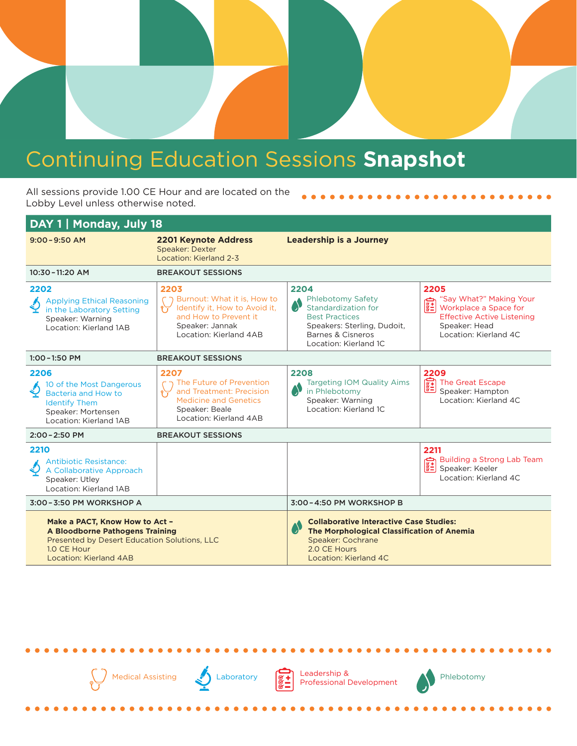## Continuing Education Sessions **Snapshot**

All sessions provide 1.00 CE Hour and are located on the Lobby Level unless otherwise noted.

| DAY 1   Monday, July 18                                                                                                                                           |                                                                                                                                            |                                                                                                                                                                          |                                                                                                                                                                      |  |
|-------------------------------------------------------------------------------------------------------------------------------------------------------------------|--------------------------------------------------------------------------------------------------------------------------------------------|--------------------------------------------------------------------------------------------------------------------------------------------------------------------------|----------------------------------------------------------------------------------------------------------------------------------------------------------------------|--|
| $9:00 - 9:50$ AM                                                                                                                                                  | <b>2201 Keynote Address</b><br>Speaker: Dexter<br>Location: Kierland 2-3                                                                   | <b>Leadership is a Journey</b>                                                                                                                                           |                                                                                                                                                                      |  |
| 10:30-11:20 AM                                                                                                                                                    | <b>BREAKOUT SESSIONS</b>                                                                                                                   |                                                                                                                                                                          |                                                                                                                                                                      |  |
| 2202<br><b>Applying Ethical Reasoning</b><br>in the Laboratory Setting<br>Speaker: Warning<br>Location: Kierland 1AB                                              | 2203<br>Burnout: What it is, How to<br>Identify it, How to Avoid it,<br>and How to Prevent it<br>Speaker: Jannak<br>Location: Kierland 4AB | 2204<br><b>Phlebotomy Safety</b><br>Standardization for<br><b>Best Practices</b><br>Speakers: Sterling, Dudoit,<br><b>Barnes &amp; Cisneros</b><br>Location: Kierland 1C | 2205<br>"Say What?" Making Your<br>$\mathbf{q}_{\text{max}}$<br>Workplace a Space for<br><b>Effective Active Listening</b><br>Speaker: Head<br>Location: Kierland 4C |  |
| $1:00 - 1:50$ PM                                                                                                                                                  | <b>BREAKOUT SESSIONS</b>                                                                                                                   |                                                                                                                                                                          |                                                                                                                                                                      |  |
| 2206<br>10 of the Most Dangerous<br>Bacteria and How to<br><b>Identify Them</b><br>Speaker: Mortensen<br>Location: Kierland 1AB                                   | 2207<br>The Future of Prevention<br>and Treatment: Precision<br><b>Medicine and Genetics</b><br>Speaker: Beale<br>Location: Kierland 4AB   | 2208<br><b>Targeting IOM Quality Aims</b><br>in Phlebotomy<br>Speaker: Warning<br>Location: Kierland 1C                                                                  | 2209<br>E<br>The Great Escape<br>Speaker: Hampton<br>Location: Kierland 4C                                                                                           |  |
| 2:00 - 2:50 PM                                                                                                                                                    | <b>BREAKOUT SESSIONS</b>                                                                                                                   |                                                                                                                                                                          |                                                                                                                                                                      |  |
| 2210<br><b>Antibiotic Resistance:</b><br>A Collaborative Approach<br>Speaker: Utley<br>Location: Kierland 1AB                                                     |                                                                                                                                            |                                                                                                                                                                          | 2211<br>Building a Strong Lab Team<br>$\begin{array}{c}\n\downarrow \\ \downarrow \\ \downarrow\n\end{array}$ Speaker: Keeler<br>Location: Kierland 4C               |  |
| 3:00-3:50 PM WORKSHOP A                                                                                                                                           |                                                                                                                                            | 3:00-4:50 PM WORKSHOP B                                                                                                                                                  |                                                                                                                                                                      |  |
| Make a PACT, Know How to Act -<br>A Bloodborne Pathogens Training<br>Presented by Desert Education Solutions, LLC<br>1.0 CE Hour<br><b>Location: Kierland 4AB</b> |                                                                                                                                            | <b>Collaborative Interactive Case Studies:</b><br>$\bullet$<br>The Morphological Classification of Anemia<br>Speaker: Cochrane<br>2.0 CE Hours<br>Location: Kierland 4C  |                                                                                                                                                                      |  |





Leadership &<br> **B** Professional Development